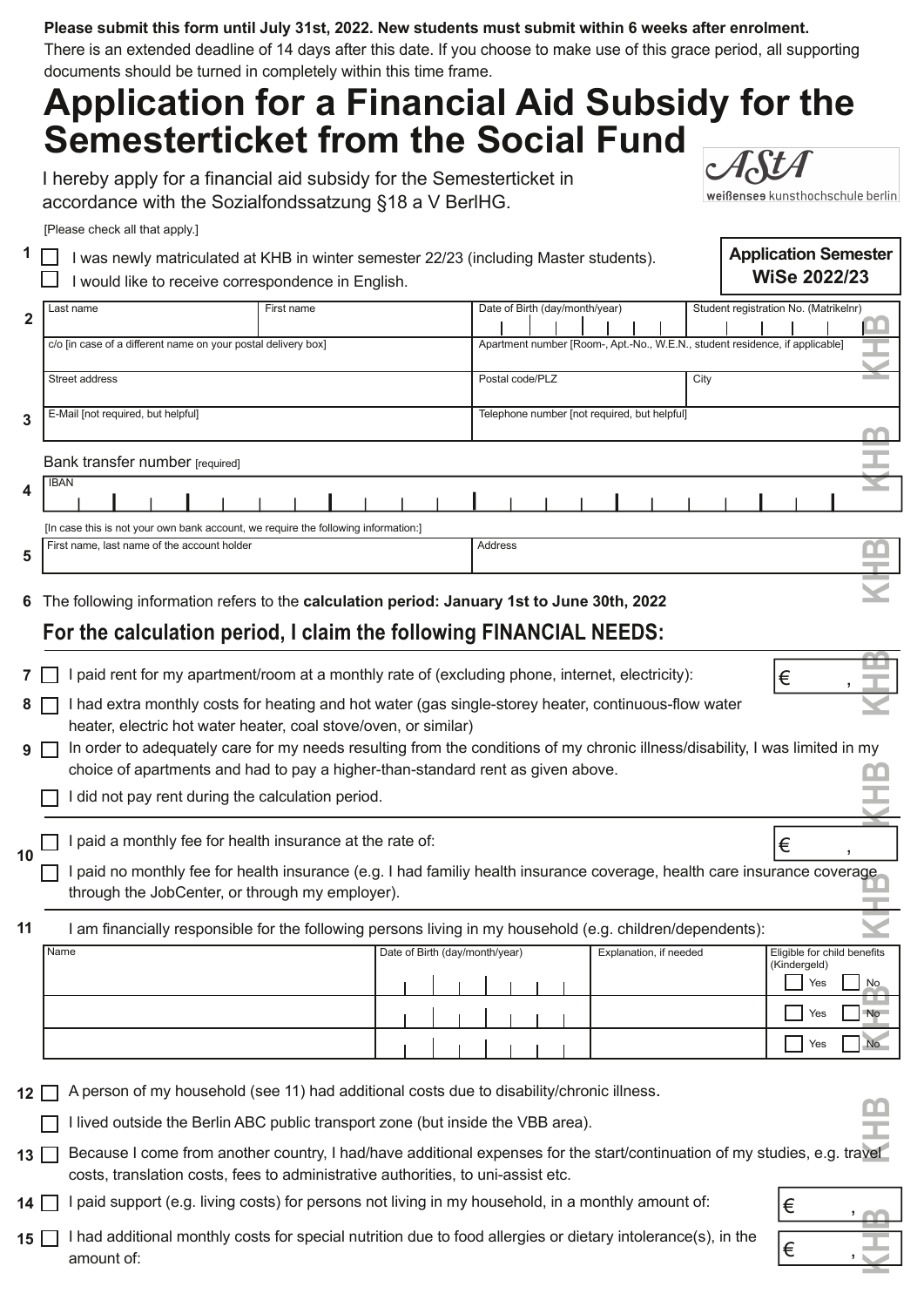#### **Please submit this form until July 31st, 2022. New students must submit within 6 weeks after enrolment.**

There is an extended deadline of 14 days after this date. If you choose to make use of this grace period, all supporting documents should be turned in completely within this time frame.

# **Application for a Financial Aid Subsidy for the Semesterticket from the Social Fund**

I hereby apply for a financial aid subsidy for the Semesterticket in accordance with the Sozialfondssatzung §18 a V BerlHG.

weißenses kunsthochschule berlin

**Application Semester WiSe 2022/23**

[Please check all that apply.]

**1**

| □ I was newly matriculated at KHB in winter semester 22/23 (including Master students). |
|-----------------------------------------------------------------------------------------|
| $\Box$ I would like to receive correspondence in English.                               |

|                         | Last name                                                                          | First name | Date of Birth (day/month/year)                                               | Student registration No. (Matrikelnr) |  |  |  |
|-------------------------|------------------------------------------------------------------------------------|------------|------------------------------------------------------------------------------|---------------------------------------|--|--|--|
| $\overline{2}$          |                                                                                    |            |                                                                              |                                       |  |  |  |
|                         | c/o [in case of a different name on your postal delivery box]                      |            | Apartment number [Room-, Apt.-No., W.E.N., student residence, if applicable] |                                       |  |  |  |
|                         |                                                                                    |            |                                                                              |                                       |  |  |  |
|                         | Street address                                                                     |            | Postal code/PLZ                                                              | City                                  |  |  |  |
|                         |                                                                                    |            |                                                                              |                                       |  |  |  |
| $\overline{3}$          | E-Mail [not required, but helpful]                                                 |            | Telephone number [not required, but helpful]                                 |                                       |  |  |  |
|                         |                                                                                    |            |                                                                              |                                       |  |  |  |
|                         |                                                                                    |            |                                                                              |                                       |  |  |  |
|                         | Bank transfer number [required]                                                    |            |                                                                              |                                       |  |  |  |
| $\overline{\mathbf{4}}$ | <b>IBAN</b>                                                                        |            |                                                                              |                                       |  |  |  |
|                         |                                                                                    |            |                                                                              |                                       |  |  |  |
|                         | [In case this is not your own bank account, we require the following information:] |            |                                                                              |                                       |  |  |  |
|                         |                                                                                    |            |                                                                              |                                       |  |  |  |
| 5                       | First name, last name of the account holder                                        |            | Address                                                                      |                                       |  |  |  |
|                         |                                                                                    |            |                                                                              |                                       |  |  |  |

The following information refers to the **calculation period: January 1st to June 30th, 2022 6**

### **For the calculation period, I claim the following FINANCIAL NEEDS:**

|    |                                                                                                                                                                       | paid rent for my apartment/room at a monthly rate of (excluding phone, internet, electricity):                                                                            |                                |                        | €                                           |  |  |  |
|----|-----------------------------------------------------------------------------------------------------------------------------------------------------------------------|---------------------------------------------------------------------------------------------------------------------------------------------------------------------------|--------------------------------|------------------------|---------------------------------------------|--|--|--|
|    | had extra monthly costs for heating and hot water (gas single-storey heater, continuous-flow water<br>heater, electric hot water heater, coal stove/oven, or similar) |                                                                                                                                                                           |                                |                        |                                             |  |  |  |
|    |                                                                                                                                                                       | In order to adequately care for my needs resulting from the conditions of my chronic illness/disability, I was limited in my                                              |                                |                        |                                             |  |  |  |
|    |                                                                                                                                                                       | choice of apartments and had to pay a higher-than-standard rent as given above.                                                                                           |                                |                        |                                             |  |  |  |
|    |                                                                                                                                                                       | did not pay rent during the calculation period.                                                                                                                           |                                |                        |                                             |  |  |  |
|    |                                                                                                                                                                       |                                                                                                                                                                           |                                |                        |                                             |  |  |  |
| 10 |                                                                                                                                                                       | paid a monthly fee for health insurance at the rate of:                                                                                                                   |                                |                        | €                                           |  |  |  |
|    |                                                                                                                                                                       | paid no monthly fee for health insurance (e.g. I had familiy health insurance coverage, health care insurance coverage<br>through the JobCenter, or through my employer). |                                |                        |                                             |  |  |  |
| 11 | am financially responsible for the following persons living in my household (e.g. children/dependents):                                                               |                                                                                                                                                                           |                                |                        |                                             |  |  |  |
|    | Name                                                                                                                                                                  |                                                                                                                                                                           | Date of Birth (day/month/year) | Explanation, if needed | Eligible for child benefits<br>(Kindergeld) |  |  |  |
|    |                                                                                                                                                                       |                                                                                                                                                                           |                                |                        |                                             |  |  |  |
|    |                                                                                                                                                                       |                                                                                                                                                                           |                                |                        | <b>No</b><br>Yes                            |  |  |  |

|  |  |  |  |  | (Kindergeld)<br>Yes | <b>No</b> |
|--|--|--|--|--|---------------------|-----------|
|  |  |  |  |  | Yes                 | <b>No</b> |
|  |  |  |  |  | Yes                 | No.       |

12  $\Box$  A person of my household (see 11) had additional costs due to disability/chronic illness.

 $\Box$  I lived outside the Berlin ABC public transport zone (but inside the VBB area).

13  $\Box$  Because I come from another country, I had/have additional expenses for the start/continuation of my studies, e.g. travel costs, translation costs, fees to administrative authorities, to uni-assist etc.

14  $\Box$  I paid support (e.g. living costs) for persons not living in my household, in a monthly amount of:

15  $\Box$  I had additional monthly costs for special nutrition due to food allergies or dietary intolerance(s), in the amount of:



**HB**

**K**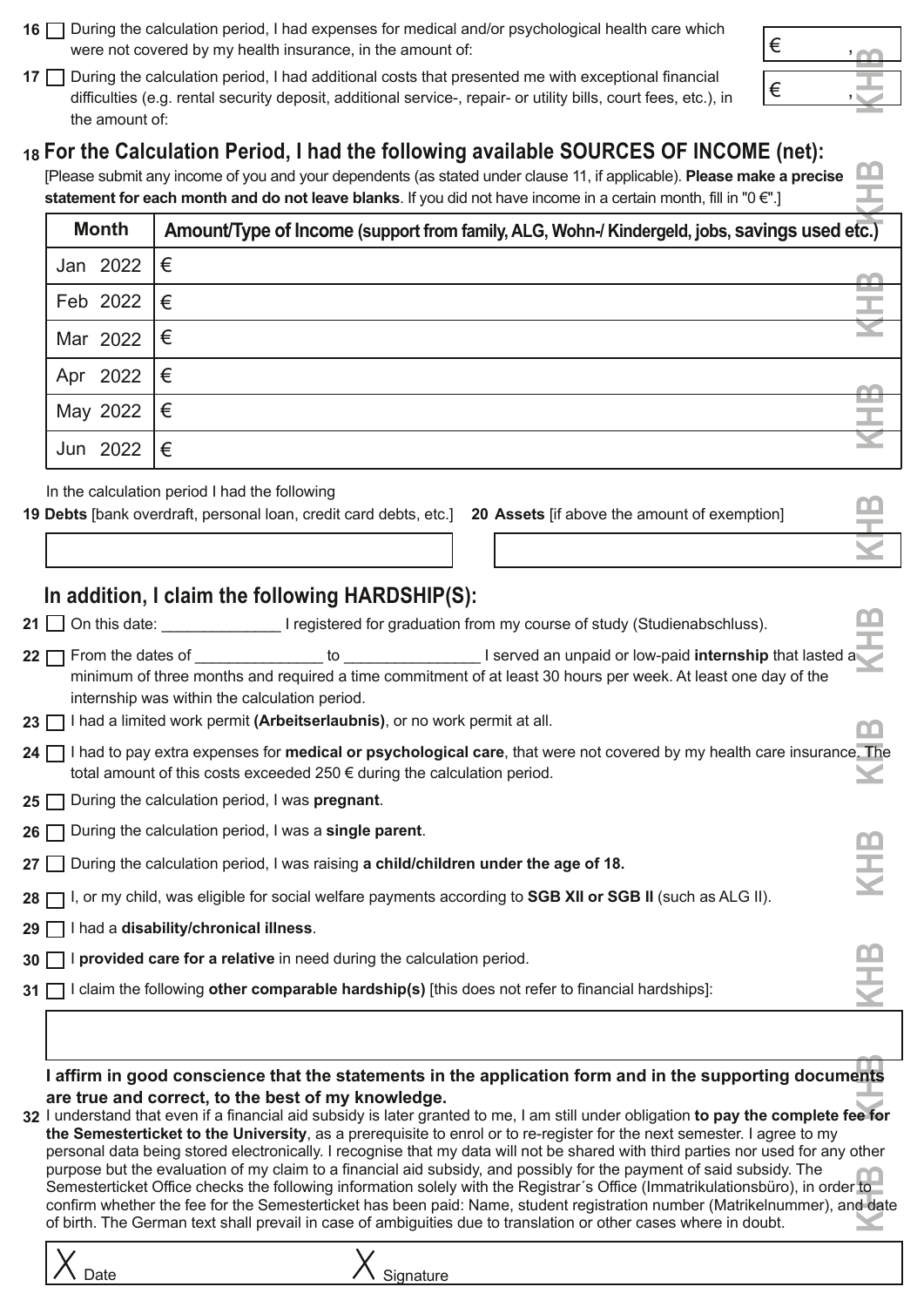- **16** □ During the calculation period, I had expenses for medical and/or psychological health care which were not covered by my health insurance, in the amount of:
- 17  $\Box$  During the calculation period, I had additional costs that presented me with exceptional financial difficulties (e.g. rental security deposit, additional service-, repair- or utility bills, court fees, etc.), in the amount of:

### **For the Calculation Period, I had the following available SOURCES OF INCOME (net): 18**

[Please submit any income of you and your dependents (as stated under clause 11, if applicable). **Please make a precise statement for each month and do not leave blanks**. If you did not have income in a certain month, fill in "0 €".]

| <b>Month</b>         | Amount/Type of Income (support from family, ALG, Wohn-/ Kindergeld, jobs, savings used etc.) |
|----------------------|----------------------------------------------------------------------------------------------|
| Jan 2022 $ \epsilon$ |                                                                                              |
| Feb 2022 $ \epsilon$ |                                                                                              |
| Mar 2022 $ \epsilon$ |                                                                                              |
| Apr 2022 $ \epsilon$ |                                                                                              |
| May 2022 $ \epsilon$ |                                                                                              |
| Jun 2022             | I€                                                                                           |

In the calculation period I had the following

19 Debts [bank overdraft, personal loan, credit card debts, etc.] 20 Assets [if above the amount of exemption]

| 20 Assets [if above the amount of exemption] | TT. |  |
|----------------------------------------------|-----|--|
|                                              |     |  |

### **In addition, I claim the following HARDSHIP(S):**

|  | 21 $\Box$ On this date: |  |  | I registered for graduation from my course of study (Studienabschluss). |  |
|--|-------------------------|--|--|-------------------------------------------------------------------------|--|
|  |                         |  |  |                                                                         |  |

- from the dates of an unpaid or low-paid **internship** that lasted an unpaid or low-paid **internship** that lasted and minimum of three months and required a time commitment of at least 30 hours per week. At least one day of the internship was within the calculation period. 22  $\Box$  From the dates of **KH**
- **23**  $\Box$  I had a limited work permit (Arbeitserlaubnis), or no work permit at all.
- I had to pay extra expenses for **medical or psychological care**, that were not covered by my health care insurance. The **24** total amount of this costs exceeded 250 € during the calculation period. **KH**
- 25  $\Box$  During the calculation period, I was **pregnant**.
- **26** □ During the calculation period, I was a **single parent**.
- During the calculation period, I was raising **a child/children under the age of 18. 27**
- I, or my child, was eligible for social welfare payments according to **SGB XII or SGB II** (such as ALG II). **28**
- I had a **disability/chronical illness**. **29**
- **30**  $\Box$  **i provided care for a relative** in need during the calculation period.
- I claim the following **other comparable hardship(s)** [this does not refer to financial hardships]: **31**

#### l affirm in good conscience that the statements in the application form and in the supporting documents<br>are true and serrect, to the best of my knowledge. **are true and correct, to the best of my knowledge. B**

I understand that even if a financial aid subsidy is later granted to me, I am still under obligation **to pay the complete fee for**  $\frac{1}{\sqrt{2}}$ **the Semesterticket to the University**, as a prerequisite to enrol or to reregister for the next semester. I agree to my personal data being stored electronically. I recognise that my data will not be shared with third parties nor used for any other purpose but the evaluation of my claim to a financial aid subsidy, and possibly for the payment of said subsidy. The purpose but the evaluation of my claim to a financial aid subsldy, and possibly for the payment of said subsldy. The<br>Semesterticket Office checks the following information solely with the Registrar´s Office (Immatrikulatio confirm whether the fee for the Semesterticket has been paid: Name, student registration number (Matrikelnummer), and date of birth. The German text shall prevail in case of ambiguities due to translation or other cases where in doubt. **K**



Date  $\overline{\phantom{a}}$  Date  $\overline{\phantom{a}}$  Signature

| € |  |
|---|--|
|   |  |
| € |  |
|   |  |

**HB**

**KHB**

**KHB**

**B**

**B**

**K**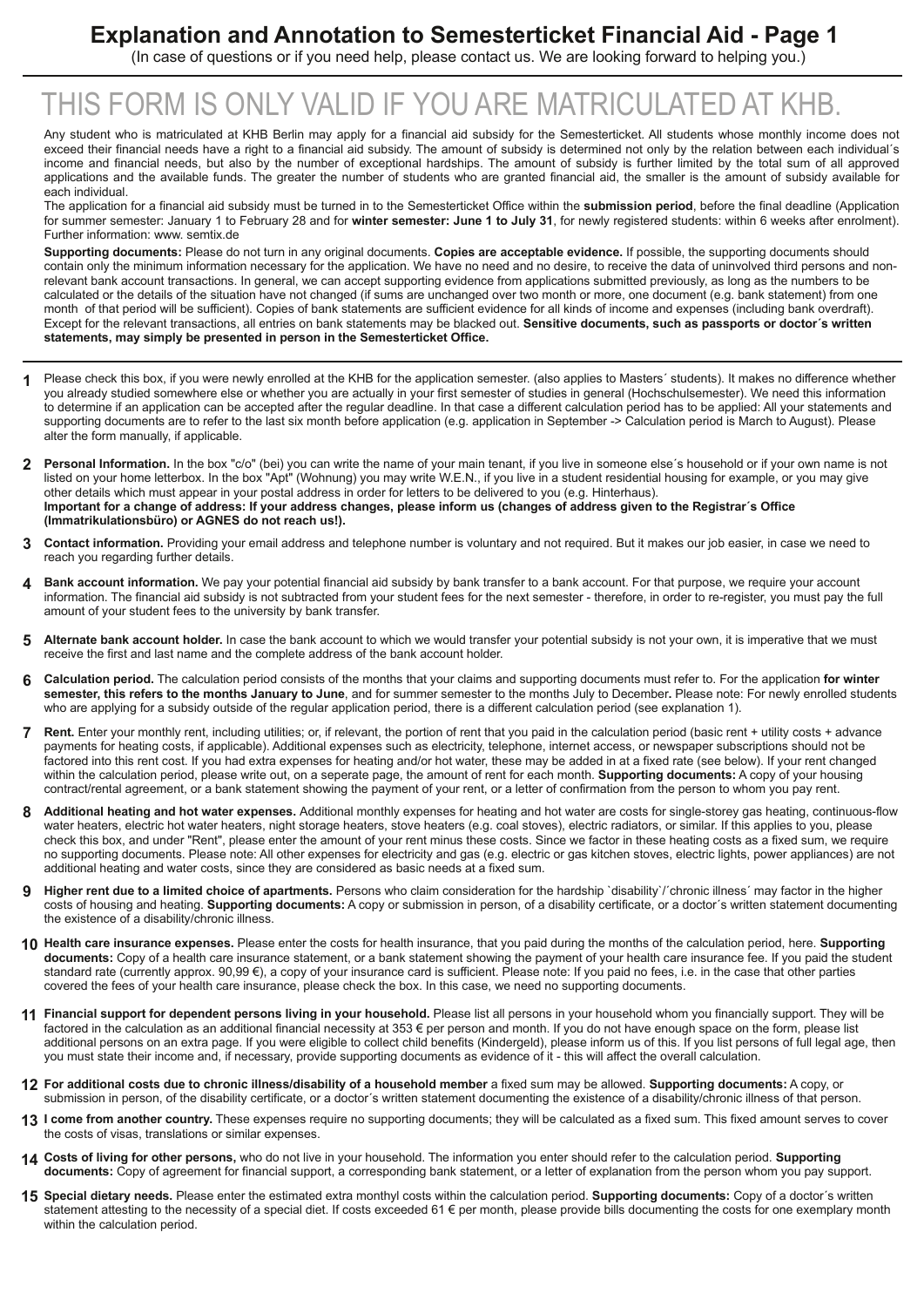### **Explanation and Annotation to Semesterticket Financial Aid Page 1**

(In case of questions or if you need help, please contact us. We are looking forward to helping you.)

## THIS FORM IS ONLY VALID IF YOU ARE MATRICULATED AT KHB.

Any student who is matriculated at KHB Berlin may apply for a financial aid subsidy for the Semesterticket. All students whose monthly income does not exceed their financial needs have a right to a financial aid subsidy. The amount of subsidy is determined not only by the relation between each individual's income and financial needs, but also by the number of exceptional hardships. The amount of subsidy is further limited by the total sum of all approved applications and the available funds. The greater the number of students who are granted financial aid, the smaller is the amount of subsidy available for each individual.

The application for a financial aid subsidy must be turned in to the Semesterticket Office within the **submission period**, before the final deadline (Application for summer semester: January 1 to February 28 and for **winter semester: June 1 to July 31**, for newly registered students: within 6 weeks after enrolment). Further information: www. semtix.de

**Supporting documents:** Please do not turn in any original documents. **Copies are acceptable evidence.** If possible, the supporting documents should contain only the minimum information necessary for the application. We have no need and no desire, to receive the data of uninvolved third persons and nonrelevant bank account transactions. In general, we can accept supporting evidence from applications submitted previously, as long as the numbers to be calculated or the details of the situation have not changed (if sums are unchanged over two month or more, one document (e.g. bank statement) from one month of that period will be sufficient). Copies of bank statements are sufficient evidence for all kinds of income and expenses (including bank overdraft). Except for the relevant transactions, all entries on bank statements may be blacked out. **Sensitive documents, such as passports or doctor´s written statements, may simply be presented in person in the Semesterticket Office.**

- Please check this box, if you were newly enrolled at the KHB for the application semester. (also applies to Masters' students). It makes no difference whether you already studied somewhere else or whether you are actually in your first semester of studies in general (Hochschulsemester). We need this information to determine if an application can be accepted after the regular deadline. In that case a different calculation period has to be applied: All your statements and supporting documents are to refer to the last six month before application (e.g. application in September -> Calculation period is March to August). Please alter the form manually, if applicable. **1**
- Personal Information. In the box "c/o" (bei) you can write the name of your main tenant, if you live in someone else's household or if your own name is not listed on your home letterbox. In the box "Apt" (Wohnung) you may write W.E.N., if you live in a student residential housing for example, or you may give other details which must appear in your postal address in order for letters to be delivered to you (e.g. Hinterhaus). Important for a change of address: If your address changes, please inform us (changes of address given to the Registrar's Office **(Immatrikulationsbüro) or AGNES do not reach us!). 2**
- **Contact information.** Providing your email address and telephone number is voluntary and not required. But it makes our job easier, in case we need to reach you regarding further details. **3**
- **Bank account information.** We pay your potential financial aid subsidy by bank transfer to a bank account. For that purpose, we require your account information. The financial aid subsidy is not subtracted from your student fees for the next semester therefore, in order to reregister, you must pay the full amount of your student fees to the university by bank transfer. **4**
- **Alternate bank account holder.** In case the bank account to which we would transfer your potential subsidy is not your own, it is imperative that we must receive the first and last name and the complete address of the bank account holder. **5**
- **Calculation period.** The calculation period consists of the months that your claims and supporting documents must refer to. For the application **for winter semester, this refers to the months January to June**, and for summer semester to the months July to December**.** Please note: For newly enrolled students who are applying for a subsidy outside of the regular application period, there is a different calculation period (see explanation 1). **6**
- Rent. Enter your monthly rent, including utilities; or, if relevant, the portion of rent that you paid in the calculation period (basic rent + utility costs + advance payments for heating costs, if applicable). Additional expenses such as electricity, telephone, internet access, or newspaper subscriptions should not be factored into this rent cost. If you had extra expenses for heating and/or hot water, these may be added in at a fixed rate (see below). If your rent changed within the calculation period, please write out, on a seperate page, the amount of rent for each month. **Supporting documents:** A copy of your housing contract/rental agreement, or a bank statement showing the payment of your rent, or a letter of confirmation from the person to whom you pay rent. **7**
- Additional heating and hot water expenses. Additional monthly expenses for heating and hot water are costs for single-storey gas heating, continuous-flow water heaters, electric hot water heaters, night storage heaters, stove heaters (e.g. coal stoves), electric radiators, or similar. If this applies to you, please check this box, and under "Rent", please enter the amount of your rent minus these costs. Since we factor in these heating costs as a fixed sum, we require no supporting documents. Please note: All other expenses for electricity and gas (e.g. electric or gas kitchen stoves, electric lights, power appliances) are not additional heating and water costs, since they are considered as basic needs at a fixed sum. **8**
- **Higher rent due to a limited choice of apartments.** Persons who claim consideration for the hardship `disability`/´chronic illness´ may factor in the higher costs of housing and heating. **Supporting documents:** A copy or submission in person, of a disability certificate, or a doctor´s written statement documenting the existence of a disability/chronic illness. **9**
- **Health care insurance expenses.** Please enter the costs for health insurance, that you paid during the months of the calculation period, here. **Supporting 10 documents:** Copy of a health care insurance statement, or a bank statement showing the payment of your health care insurance fee. If you paid the student standard rate (currently approx. 90,99 €), a copy of your insurance card is sufficient. Please note: If you paid no fees, i.e. in the case that other parties covered the fees of your health care insurance, please check the box. In this case, we need no supporting documents.
- **Financial support for dependent persons living in your household.** Please list all persons in your household whom you financially support. They will be **11** factored in the calculation as an additional financial necessity at 353 € per person and month. If you do not have enough space on the form, please list additional persons on an extra page. If you were eligible to collect child benefits (Kindergeld), please inform us of this. If you list persons of full legal age, then you must state their income and, if necessary, provide supporting documents as evidence of it - this will affect the overall calculation.
- 12 For additional costs due to chronic illness/disability of a household member a fixed sum may be allowed. Supporting documents: A copy, or submission in person, of the disability certificate, or a doctor´s written statement documenting the existence of a disability/chronic illness of that person.
- **I come from another country.** These expenses require no supporting documents; they will be calculated as a fixed sum. This fixed amount serves to cover **13** the costs of visas, translations or similar expenses.
- **Costs of living for other persons,** who do not live in your household. The information you enter should refer to the calculation period. **Supporting 14 documents:** Copy of agreement for financial support, a corresponding bank statement, or a letter of explanation from the person whom you pay support.
- **Special dietary needs.** Please enter the estimated extra monthyl costs within the calculation period. **Supporting documents:** Copy of a doctor´s written **15** statement attesting to the necessity of a special diet. If costs exceeded 61 € per month, please provide bills documenting the costs for one exemplary month within the calculation period.